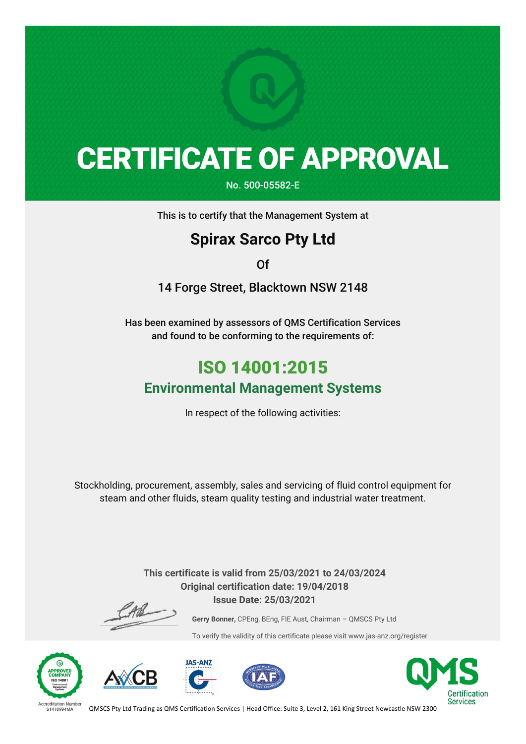## **CERTIFICATE OF APPROVAL**

No. 500-05582-E

This is to certify that the Management System at

### **Spirax Sarco Pty Ltd**

Of

14 Forge Street, Blacktown NSW 2148

Has been examined by assessors of QMS Certification Services and found to be conforming to the requirements of:

### ISO 14001:2015

#### **Environmental Management Systems**

In respect of the following activities:

Stockholding, procurement, assembly, sales and servicing of fluid control equipment for steam and other fluids, steam quality testing and industrial water treatment.

> **This certificate is valid from 25/03/2021 to 24/03/2024 Original certification date: 19/04/2018 Issue Date: 25/03/2021**

**Gerry Bonner,** CPEng, BEng, FIE Aust, Chairman – QMSCS Pty Ltd

To verify the validity of this certificate please visit www.jas-anz.org/register











QMSCS Pty Ltd Trading as QMS Certification Services | Head Office: Suite 3, Level 2, 161 King Street Newcastle NSW 2300